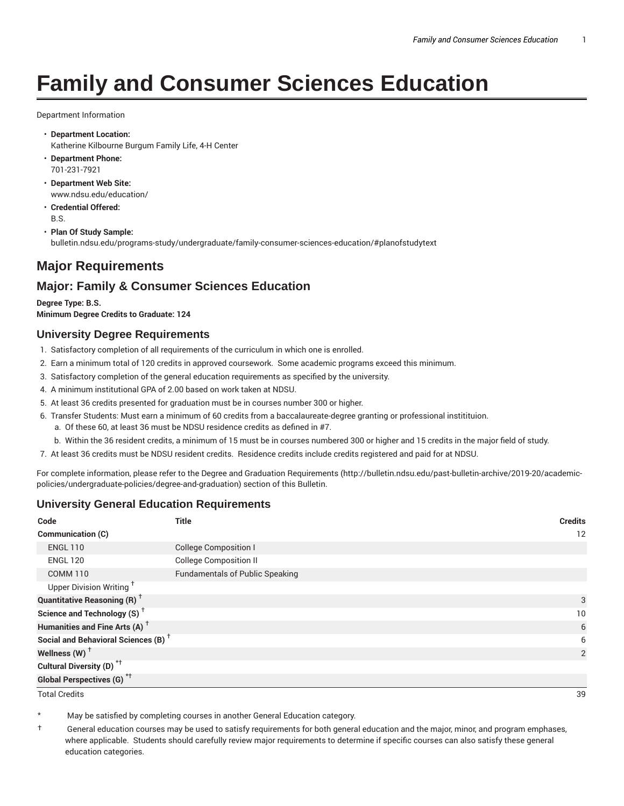# **Family and Consumer Sciences Education**

Department Information

- **Department Location:** Katherine Kilbourne Burgum Family Life, 4-H Center
- **Department Phone:** 701-231-7921
- **Department Web Site:** www.ndsu.edu/education/
- **Credential Offered:** B.S.
- **Plan Of Study Sample:** bulletin.ndsu.edu/programs-study/undergraduate/family-consumer-sciences-education/#planofstudytext

## **Major Requirements**

### **Major: Family & Consumer Sciences Education**

**Degree Type: B.S. Minimum Degree Credits to Graduate: 124**

#### **University Degree Requirements**

- 1. Satisfactory completion of all requirements of the curriculum in which one is enrolled.
- 2. Earn a minimum total of 120 credits in approved coursework. Some academic programs exceed this minimum.
- 3. Satisfactory completion of the general education requirements as specified by the university.
- 4. A minimum institutional GPA of 2.00 based on work taken at NDSU.
- 5. At least 36 credits presented for graduation must be in courses number 300 or higher.
- 6. Transfer Students: Must earn a minimum of 60 credits from a baccalaureate-degree granting or professional institituion.
	- a. Of these 60, at least 36 must be NDSU residence credits as defined in #7.
	- b. Within the 36 resident credits, a minimum of 15 must be in courses numbered 300 or higher and 15 credits in the major field of study.
- 7. At least 36 credits must be NDSU resident credits. Residence credits include credits registered and paid for at NDSU.

For complete information, please refer to the Degree and Graduation Requirements (http://bulletin.ndsu.edu/past-bulletin-archive/2019-20/academicpolicies/undergraduate-policies/degree-and-graduation) section of this Bulletin.

#### **University General Education Requirements**

| Code                                            | <b>Title</b>                           | <b>Credits</b> |
|-------------------------------------------------|----------------------------------------|----------------|
| Communication (C)                               |                                        | 12             |
| <b>ENGL 110</b>                                 | <b>College Composition I</b>           |                |
| <b>ENGL 120</b>                                 | <b>College Composition II</b>          |                |
| <b>COMM 110</b>                                 | <b>Fundamentals of Public Speaking</b> |                |
| Upper Division Writing <sup>+</sup>             |                                        |                |
| <b>Quantitative Reasoning (R)</b> <sup>†</sup>  |                                        | 3              |
| Science and Technology (S) <sup>+</sup>         |                                        | 10             |
| Humanities and Fine Arts (A) <sup>+</sup>       |                                        | 6              |
| Social and Behavioral Sciences (B) <sup>+</sup> |                                        | 6              |
| Wellness $(W)$ <sup>+</sup>                     |                                        | 2              |
| Cultural Diversity (D) <sup>*†</sup>            |                                        |                |
| <b>Global Perspectives (G)<sup>*†</sup></b>     |                                        |                |

Total Credits 39

May be satisfied by completing courses in another General Education category.

† General education courses may be used to satisfy requirements for both general education and the major, minor, and program emphases, where applicable. Students should carefully review major requirements to determine if specific courses can also satisfy these general education categories.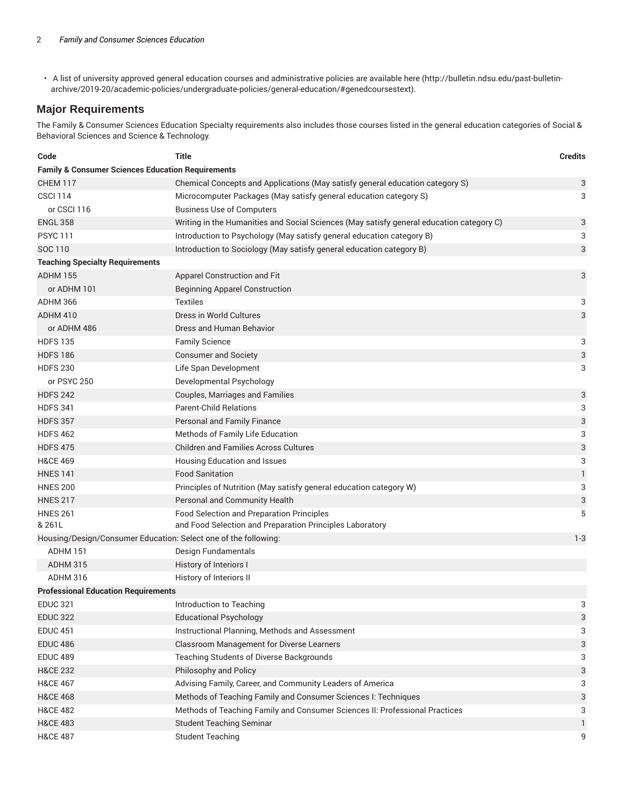• A list of university approved general education courses and administrative policies are available here (http://bulletin.ndsu.edu/past-bulletinarchive/2019-20/academic-policies/undergraduate-policies/general-education/#genedcoursestext).

#### **Major Requirements**

The Family & Consumer Sciences Education Specialty requirements also includes those courses listed in the general education categories of Social & Behavioral Sciences and Science & Technology.

| Code                                                                       | <b>Title</b>                                                                             | <b>Credits</b> |  |
|----------------------------------------------------------------------------|------------------------------------------------------------------------------------------|----------------|--|
| <b>Family &amp; Consumer Sciences Education Requirements</b>               |                                                                                          |                |  |
| <b>CHEM 117</b>                                                            | Chemical Concepts and Applications (May satisfy general education category S)            | 3              |  |
| <b>CSCI 114</b>                                                            | Microcomputer Packages (May satisfy general education category S)                        | 3              |  |
| or CSCI 116                                                                | <b>Business Use of Computers</b>                                                         |                |  |
| <b>ENGL 358</b>                                                            | Writing in the Humanities and Social Sciences (May satisfy general education category C) | 3              |  |
| <b>PSYC111</b>                                                             | Introduction to Psychology (May satisfy general education category B)                    | 3              |  |
| SOC 110                                                                    | Introduction to Sociology (May satisfy general education category B)                     | 3              |  |
| <b>Teaching Specialty Requirements</b>                                     |                                                                                          |                |  |
| <b>ADHM 155</b>                                                            | Apparel Construction and Fit                                                             | 3              |  |
| or ADHM 101                                                                | <b>Beginning Apparel Construction</b>                                                    |                |  |
| <b>ADHM 366</b>                                                            | <b>Textiles</b>                                                                          | 3              |  |
| ADHM 410                                                                   | Dress in World Cultures                                                                  | 3              |  |
| or ADHM 486                                                                | Dress and Human Behavior                                                                 |                |  |
| <b>HDFS 135</b>                                                            | <b>Family Science</b>                                                                    | 3              |  |
| <b>HDFS 186</b>                                                            | <b>Consumer and Society</b>                                                              | 3              |  |
| <b>HDFS 230</b>                                                            | Life Span Development                                                                    | 3              |  |
| or PSYC 250                                                                | Developmental Psychology                                                                 |                |  |
| <b>HDFS 242</b>                                                            | Couples, Marriages and Families                                                          | 3              |  |
| <b>HDFS 341</b>                                                            | <b>Parent-Child Relations</b>                                                            | 3              |  |
| <b>HDFS 357</b>                                                            | Personal and Family Finance                                                              | 3              |  |
| <b>HDFS 462</b>                                                            | Methods of Family Life Education                                                         | 3              |  |
| <b>HDFS 475</b>                                                            | <b>Children and Families Across Cultures</b>                                             | 3              |  |
| <b>H&amp;CE 469</b>                                                        | Housing Education and Issues                                                             | 3              |  |
| <b>HNES 141</b>                                                            | <b>Food Sanitation</b>                                                                   | 1              |  |
| <b>HNES 200</b>                                                            | Principles of Nutrition (May satisfy general education category W)                       | 3              |  |
| <b>HNES 217</b>                                                            | Personal and Community Health                                                            | 3              |  |
| <b>HNES 261</b>                                                            | Food Selection and Preparation Principles                                                | 5              |  |
| & 261L                                                                     | and Food Selection and Preparation Principles Laboratory                                 |                |  |
| Housing/Design/Consumer Education: Select one of the following:<br>$1 - 3$ |                                                                                          |                |  |
| ADHM 151                                                                   | Design Fundamentals                                                                      |                |  |
| ADHM 315                                                                   | History of Interiors I                                                                   |                |  |
| ADHM 316                                                                   | History of Interiors II                                                                  |                |  |
| <b>Professional Education Requirements</b>                                 |                                                                                          |                |  |
| <b>EDUC 321</b>                                                            | Introduction to Teaching                                                                 |                |  |
| <b>EDUC 322</b>                                                            | <b>Educational Psychology</b>                                                            | 3              |  |
| <b>EDUC 451</b>                                                            | Instructional Planning, Methods and Assessment                                           | 3              |  |
| <b>EDUC 486</b>                                                            | Classroom Management for Diverse Learners                                                | 3              |  |
| <b>EDUC 489</b>                                                            | Teaching Students of Diverse Backgrounds                                                 | 3              |  |
| <b>H&amp;CE 232</b>                                                        | Philosophy and Policy                                                                    | 3              |  |
| <b>H&amp;CE 467</b>                                                        | Advising Family, Career, and Community Leaders of America                                | 3              |  |
| <b>H&amp;CE 468</b>                                                        | Methods of Teaching Family and Consumer Sciences I: Techniques                           | 3              |  |
| <b>H&amp;CE 482</b>                                                        | Methods of Teaching Family and Consumer Sciences II: Professional Practices              | 3              |  |
| <b>H&amp;CE 483</b>                                                        | <b>Student Teaching Seminar</b>                                                          | 1              |  |
| <b>H&amp;CE 487</b>                                                        | <b>Student Teaching</b>                                                                  | 9              |  |